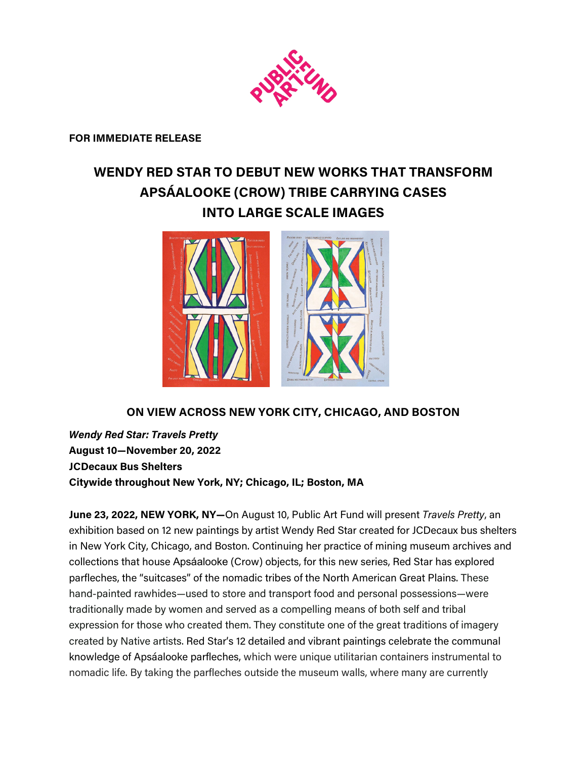

**FOR IMMEDIATE RELEASE**

# **WENDY RED STAR TO DEBUT NEW WORKS THAT TRANSFORM APSÁALOOKE (CROW) TRIBE CARRYING CASES INTO LARGE SCALE IMAGES**



## **ON VIEW ACROSS NEW YORK CITY, CHICAGO, AND BOSTON**

*Wendy Red Star: Travels Pretty* **August 10—November 20, 2022 JCDecaux Bus Shelters Citywide throughout New York, NY; Chicago, IL; Boston, MA**

**June 23, 2022, NEW YORK, NY—**On August 10, Public Art Fund will present *Travels Pretty*, an exhibition based on 12 new paintings by artist Wendy Red Star created for JCDecaux bus shelters in New York City, Chicago, and Boston. Continuing her practice of mining museum archives and collections that house Apsáalooke (Crow) objects, for this new series, Red Star has explored parfleches, the "suitcases" of the nomadic tribes of the North American Great Plains. These hand-painted rawhides—used to store and transport food and personal possessions—were traditionally made by women and served as a compelling means of both self and tribal expression for those who created them. They constitute one of the great traditions of imagery created by Native artists. Red Star's 12 detailed and vibrant paintings celebrate the communal knowledge of Apsáalooke parfleches, which were unique utilitarian containers instrumental to nomadic life. By taking the parfleches outside the museum walls, where many are currently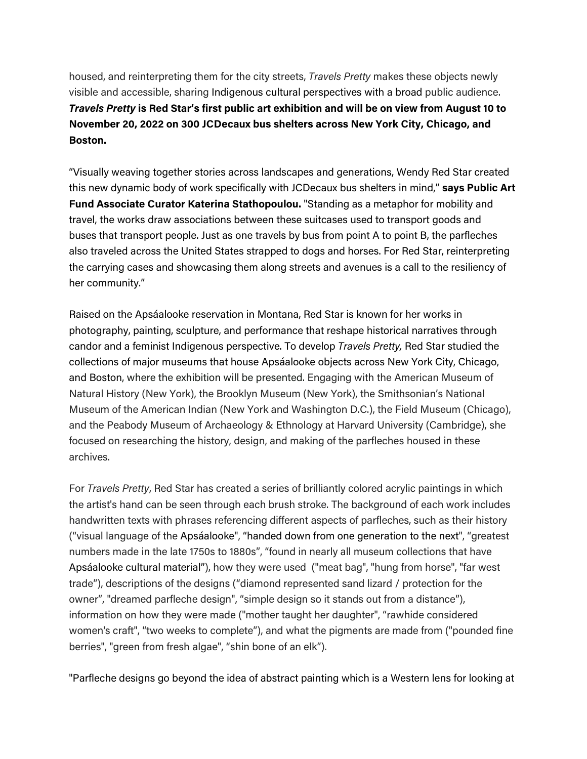housed, and reinterpreting them for the city streets, *Travels Pretty* makes these objects newly visible and accessible, sharing Indigenous cultural perspectives with a broad public audience. *Travels Pretty* **is Red Star's first public art exhibition and will be on view from August 10 to November 20, 2022 on 300 JCDecaux bus shelters across New York City, Chicago, and Boston.** 

"Visually weaving together stories across landscapes and generations, Wendy Red Star created this new dynamic body of work specifically with JCDecaux bus shelters in mind," **says Public Art Fund Associate Curator Katerina Stathopoulou.** "Standing as a metaphor for mobility and travel, the works draw associations between these suitcases used to transport goods and buses that transport people. Just as one travels by bus from point A to point B, the parfleches also traveled across the United States strapped to dogs and horses. For Red Star, reinterpreting the carrying cases and showcasing them along streets and avenues is a call to the resiliency of her community."

Raised on the Apsáalooke reservation in Montana, Red Star is known for her works in photography, painting, sculpture, and performance that reshape historical narratives through candor and a feminist Indigenous perspective. To develop *Travels Pretty,* Red Star studied the collections of major museums that house Apsáalooke objects across New York City, Chicago, and Boston, where the exhibition will be presented. Engaging with the American Museum of Natural History (New York), the Brooklyn Museum (New York), the Smithsonian's National Museum of the American Indian (New York and Washington D.C.), the Field Museum (Chicago), and the Peabody Museum of Archaeology & Ethnology at Harvard University (Cambridge), she focused on researching the history, design, and making of the parfleches housed in these archives.

For *Travels Pretty*, Red Star has created a series of brilliantly colored acrylic paintings in which the artist's hand can be seen through each brush stroke. The background of each work includes handwritten texts with phrases referencing different aspects of parfleches, such as their history ("visual language of the Apsáalooke", "handed down from one generation to the next", "greatest numbers made in the late 1750s to 1880s", "found in nearly all museum collections that have Apsáalooke cultural material"), how they were used ("meat bag", "hung from horse", "far west trade"), descriptions of the designs ("diamond represented sand lizard / protection for the owner", "dreamed parfleche design", "simple design so it stands out from a distance"), information on how they were made ("mother taught her daughter", "rawhide considered women's craft", "two weeks to complete"), and what the pigments are made from ("pounded fine berries", "green from fresh algae", "shin bone of an elk").

"Parfleche designs go beyond the idea of abstract painting which is a Western lens for looking at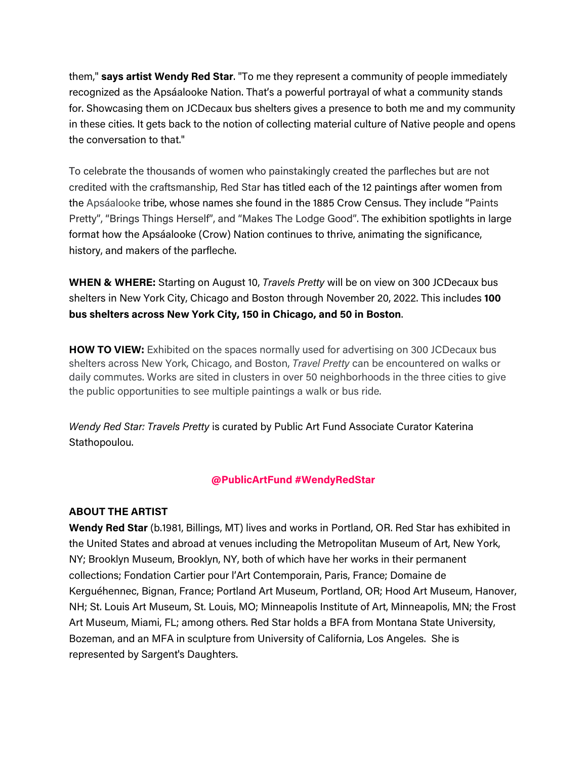them," **says artist Wendy Red Star**. "To me they represent a community of people immediately recognized as the Apsáalooke Nation. That's a powerful portrayal of what a community stands for. Showcasing them on JCDecaux bus shelters gives a presence to both me and my community in these cities. It gets back to the notion of collecting material culture of Native people and opens the conversation to that."

To celebrate the thousands of women who painstakingly created the parfleches but are not credited with the craftsmanship, Red Star has titled each of the 12 paintings after women from the Apsáalooke tribe, whose names she found in the 1885 Crow Census. They include "Paints Pretty", "Brings Things Herself", and "Makes The Lodge Good". The exhibition spotlights in large format how the Apsáalooke (Crow) Nation continues to thrive, animating the significance, history, and makers of the parfleche.

**WHEN & WHERE:** Starting on August 10, *Travels Pretty* will be on view on 300 JCDecaux bus shelters in New York City, Chicago and Boston through November 20, 2022. This includes **100 bus shelters across New York City, 150 in Chicago, and 50 in Boston**.

**HOW TO VIEW:** Exhibited on the spaces normally used for advertising on 300 JCDecaux bus shelters across New York, Chicago, and Boston, *Travel Pretty* can be encountered on walks or daily commutes. Works are sited in clusters in over 50 neighborhoods in the three cities to give the public opportunities to see multiple paintings a walk or bus ride.

*Wendy Red Star: Travels Pretty* is curated by Public Art Fund Associate Curator Katerina Stathopoulou.

## **@PublicArtFund #WendyRedStar**

#### **ABOUT THE ARTIST**

**Wendy Red Star** (b.1981, Billings, MT) lives and works in Portland, OR. Red Star has exhibited in the United States and abroad at venues including the Metropolitan Museum of Art, New York, NY; Brooklyn Museum, Brooklyn, NY, both of which have her works in their permanent collections; Fondation Cartier pour l'Art Contemporain, Paris, France; Domaine de Kerguéhennec, Bignan, France; Portland Art Museum, Portland, OR; Hood Art Museum, Hanover, NH; St. Louis Art Museum, St. Louis, MO; Minneapolis Institute of Art, Minneapolis, MN; the Frost Art Museum, Miami, FL; among others. Red Star holds a BFA from Montana State University, Bozeman, and an MFA in sculpture from University of California, Los Angeles. She is represented by Sargent's Daughters.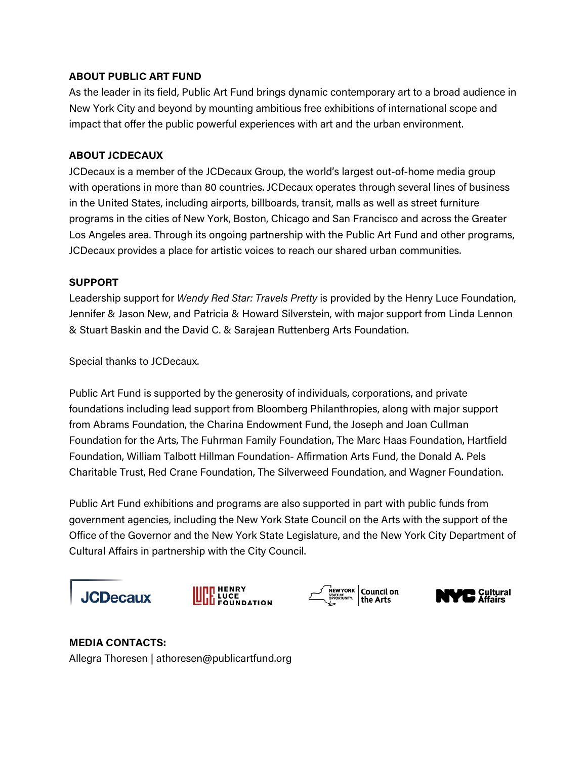### **ABOUT PUBLIC ART FUND**

As the leader in its field, Public Art Fund brings dynamic contemporary art to a broad audience in New York City and beyond by mounting ambitious free exhibitions of international scope and impact that offer the public powerful experiences with art and the urban environment.

### **ABOUT JCDECAUX**

JCDecaux is a member of the JCDecaux Group, the world's largest out-of-home media group with operations in more than 80 countries. JCDecaux operates through several lines of business in the United States, including airports, billboards, transit, malls as well as street furniture programs in the cities of New York, Boston, Chicago and San Francisco and across the Greater Los Angeles area. Through its ongoing partnership with the Public Art Fund and other programs, JCDecaux provides a place for artistic voices to reach our shared urban communities.

#### **SUPPORT**

Leadership support for *Wendy Red Star: Travels Pretty* is provided by the Henry Luce Foundation, Jennifer & Jason New, and Patricia & Howard Silverstein, with major support from Linda Lennon & Stuart Baskin and the David C. & Sarajean Ruttenberg Arts Foundation.

Special thanks to JCDecaux.

Public Art Fund is supported by the generosity of individuals, corporations, and private foundations including lead support from Bloomberg Philanthropies, along with major support from Abrams Foundation, the Charina Endowment Fund, the Joseph and Joan Cullman Foundation for the Arts, The Fuhrman Family Foundation, The Marc Haas Foundation, Hartfield Foundation, William Talbott Hillman Foundation- Affirmation Arts Fund, the Donald A. Pels Charitable Trust, Red Crane Foundation, The Silverweed Foundation, and Wagner Foundation.

Public Art Fund exhibitions and programs are also supported in part with public funds from government agencies, including the New York State Council on the Arts with the support of the Office of the Governor and the New York State Legislature, and the New York City Department of Cultural Affairs in partnership with the City Council.









## **MEDIA CONTACTS:**

Allegra Thoresen | athoresen@publicartfund.org